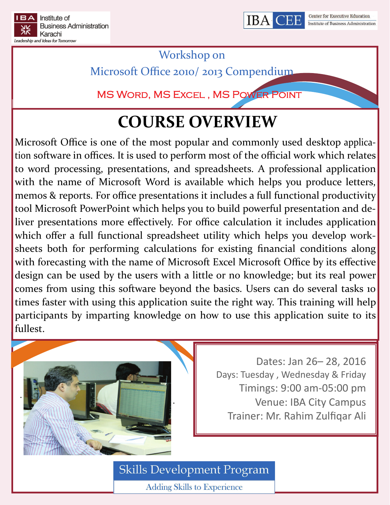



Workshop on

Microsoft Office 2010/ 2013 Compendium

MS Word, MS Excel , MS Power Point

# **COURSE OVERVIEW**

Microsoft Office is one of the most popular and commonly used desktop applica‐ tion software in offices. It is used to perform most of the official work which relates to word processing, presentations, and spreadsheets. A professional application with the name of Microsoft Word is available which helps you produce letters, memos & reports. For office presentations it includes a full functional productivity tool Microsoft PowerPoint which helps you to build powerful presentation and de‐ liver presentations more effectively. For office calculation it includes application which offer a full functional spreadsheet utility which helps you develop worksheets both for performing calculations for existing financial conditions along with forecasting with the name of Microsoft Excel Microsoft Office by its effective design can be used by the users with a little or no knowledge; but its real power comes from using this software beyond the basics. Users can do several tasks 10 times faster with using this application suite the right way. This training will help participants by imparting knowledge on how to use this application suite to its fullest.



Dates: Jan 26– 28, 2016 Days: Tuesday , Wednesday & Friday Timings: 9:00 am‐05:00 pm Venue: IBA City Campus Trainer: Mr. Rahim Zulfiqar Ali

**Skills Development Program** 

**Adding Skills to Experience**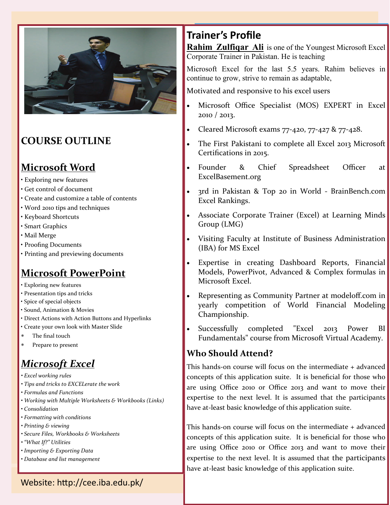

### **COURSE OUTLINE**

### **Microsoft Word**

- Exploring new features
- Get control of document
- Create and customize a table of contents
- Word 2010 tips and techniques
- Keyboard Shortcuts
- Smart Graphics
- Mail Merge
- Proofing Documents
- Printing and previewing documents

## **Microsoft PowerPoint**

- Exploring new features
- Presentation tips and tricks
- Spice of special objects
- Sound, Animation & Movies
- Direct Actions with Action Buttons and Hyperlinks
- Create your own look with Master Slide
- The final touch
- Prepare to present

## *Microsoft Excel*

- *• Excel working rules*
- *• Tips and tricks to EXCELerate the work*
- *• Formulas and Functions*
- *• Working with Multiple Worksheets & Workbooks (Links)*
- *• Consolidation*
- *• Formatting with conditions*
- *• Printing & viewing*
- *• Secure Files, Workbooks & Worksheets*
- *• "What If?" Utilities*
- *• Importing & Exporting Data*
- *• Database and list management*

## **Trainer's Profile**

**Rahim Zulfiqar Ali** is one of the Youngest Microsoft Excel Corporate Trainer in Pakistan. He is teaching

Microsoft Excel for the last 5.5 years. Rahim believes in continue to grow, strive to remain as adaptable,

Motivated and responsive to his excel users

- Microsoft Office Specialist (MOS) EXPERT in Excel 2010 / 2013.
- Cleared Microsoft exams 77‐420, 77‐427 & 77‐428.
- The First Pakistani to complete all Excel 2013 Microsoft Certifications in 2015.
- Founder & Chief Spreadsheet Officer at ExcelBasement.org
- 3rd in Pakistan & Top 20 in World ‐ BrainBench.com Excel Rankings.
- Associate Corporate Trainer (Excel) at Learning Minds Group (LMG)
- Visiting Faculty at Institute of Business Administration (IBA) for MS Excel
- Expertise in creating Dashboard Reports, Financial Models, PowerPivot, Advanced & Complex formulas in Microsoft Excel.
- Representing as Community Partner at modeloff.com in yearly competition of World Financial Modeling Championship.
- Successfully completed "Excel 2013 Power BI Fundamentals" course from Microsoft Virtual Academy.

### **Who Should Attend?**

This hands‐on course will focus on the intermediate + advanced concepts of this application suite. It is beneficial for those who are using Office 2010 or Office 2013 and want to move their expertise to the next level. It is assumed that the participants have at-least basic knowledge of this application suite.

This hands‐on course will focus on the intermediate + advanced concepts of this application suite. It is beneficial for those who are using Office 2010 or Office 2013 and want to move their expertise to the next level. It is assumed that the participants have at-least basic knowledge of this application suite.

Website: http://cee.iba.edu.pk/